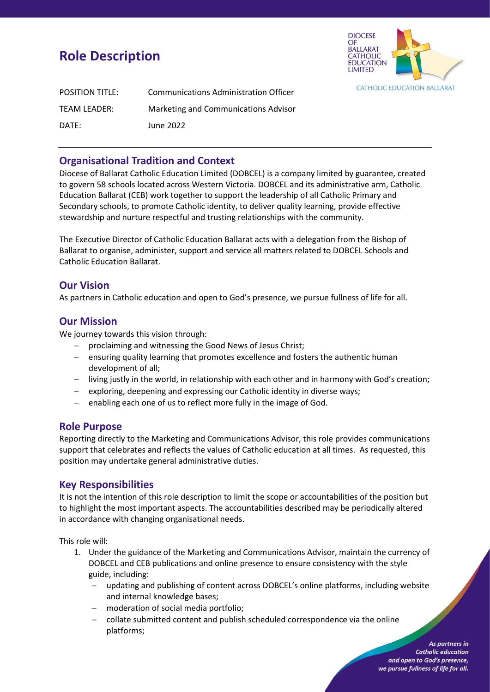# **Role Description**



| <b>POSITION TITLE:</b> | <b>Communications Administration Officer</b> |
|------------------------|----------------------------------------------|
| TEAM LEADER:           | Marketing and Communications Advisor         |
| DATE:                  | June 2022                                    |

## **Organisational Tradition and Context**

Diocese of Ballarat Catholic Education Limited (DOBCEL) is a company limited by guarantee, created to govern 58 schools located across Western Victoria. DOBCEL and its administrative arm, Catholic Education Ballarat (CEB) work together to support the leadership of all Catholic Primary and Secondary schools, to promote Catholic identity, to deliver quality learning, provide effective stewardship and nurture respectful and trusting relationships with the community.

The Executive Director of Catholic Education Ballarat acts with a delegation from the Bishop of Ballarat to organise, administer, support and service all matters related to DOBCEL Schools and Catholic Education Ballarat.

#### **Our Vision**

As partners in Catholic education and open to God's presence, we pursue fullness of life for all.

#### **Our Mission**

We journey towards this vision through:

- − proclaiming and witnessing the Good News of Jesus Christ;
- − ensuring quality learning that promotes excellence and fosters the authentic human development of all;
- − living justly in the world, in relationship with each other and in harmony with God's creation;
- − exploring, deepening and expressing our Catholic identity in diverse ways;
- − enabling each one of us to reflect more fully in the image of God.

## **Role Purpose**

Reporting directly to the Marketing and Communications Advisor, this role provides communications support that celebrates and reflects the values of Catholic education at all times. As requested, this position may undertake general administrative duties.

## **Key Responsibilities**

It is not the intention of this role description to limit the scope or accountabilities of the position but to highlight the most important aspects. The accountabilities described may be periodically altered in accordance with changing organisational needs.

This role will:

- 1. Under the guidance of the Marketing and Communications Advisor, maintain the currency of DOBCEL and CEB publications and online presence to ensure consistency with the style guide, including:
	- updating and publishing of content across DOBCEL's online platforms, including website and internal knowledge bases;
	- moderation of social media portfolio;
	- − collate submitted content and publish scheduled correspondence via the online platforms;

As partners in **Catholic education** and open to God's presence, we pursue fullness of life for all.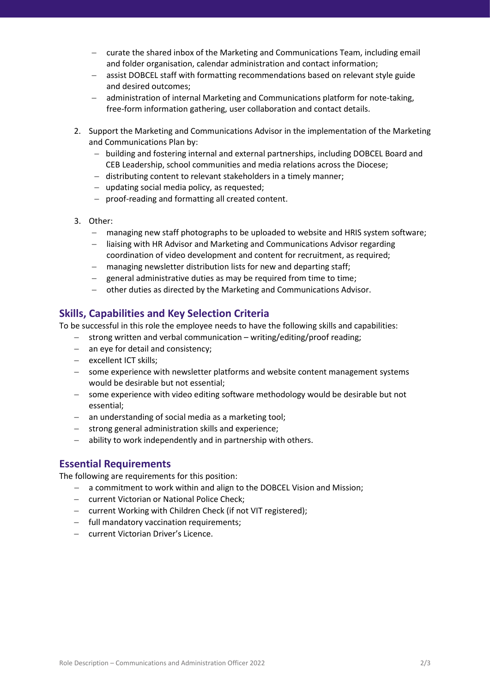- − curate the shared inbox of the Marketing and Communications Team, including email and folder organisation, calendar administration and contact information;
- − assist DOBCEL staff with formatting recommendations based on relevant style guide and desired outcomes;
- − administration of internal Marketing and Communications platform for note-taking, free-form information gathering, user collaboration and contact details.
- 2. Support the Marketing and Communications Advisor in the implementation of the Marketing and Communications Plan by:
	- − building and fostering internal and external partnerships, including DOBCEL Board and CEB Leadership, school communities and media relations across the Diocese;
	- − distributing content to relevant stakeholders in a timely manner;
	- − updating social media policy, as requested;
	- − proof-reading and formatting all created content.
- 3. Other:
	- − managing new staff photographs to be uploaded to website and HRIS system software;
	- − liaising with HR Advisor and Marketing and Communications Advisor regarding coordination of video development and content for recruitment, as required;
	- − managing newsletter distribution lists for new and departing staff;
	- − general administrative duties as may be required from time to time;
	- − other duties as directed by the Marketing and Communications Advisor.

## **Skills, Capabilities and Key Selection Criteria**

To be successful in this role the employee needs to have the following skills and capabilities:

- − strong written and verbal communication writing/editing/proof reading;
- − an eye for detail and consistency;
- − excellent ICT skills;
- − some experience with newsletter platforms and website content management systems would be desirable but not essential;
- − some experience with video editing software methodology would be desirable but not essential;
- − an understanding of social media as a marketing tool;
- − strong general administration skills and experience;
- − ability to work independently and in partnership with others.

## **Essential Requirements**

The following are requirements for this position:

- − a commitment to work within and align to the DOBCEL Vision and Mission;
- − current Victorian or National Police Check;
- − current Working with Children Check (if not VIT registered);
- − full mandatory vaccination requirements;
- − current Victorian Driver's Licence.